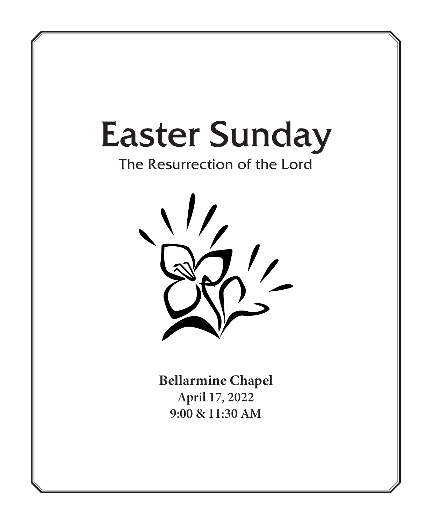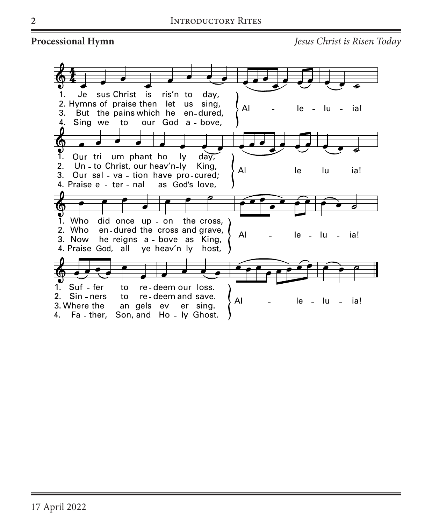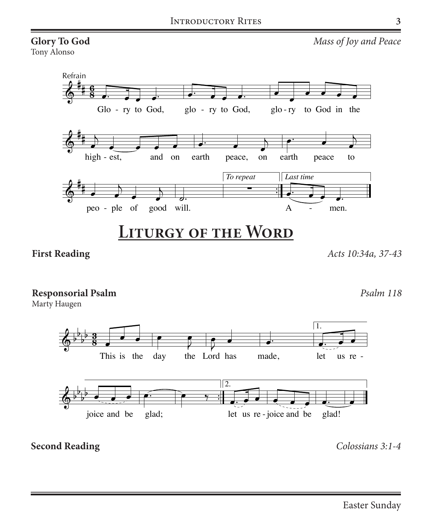#### **Glory To God**

Tony Alonso

*Mass of Joy and Peace*



### **Liturgy of the Word** 1. We praise you,

eading **ble** cauing

**First Reading** *Acts 10:34a, 37-43*

*Psalm 118*

## we give  $\Gamma$  you thanks for  $\Gamma$ **Responsorial Psalm**

Marty Haugen



2.

## **Second Reading** *Colossians 3:1-4*  $\frac{1}{2}$

**3**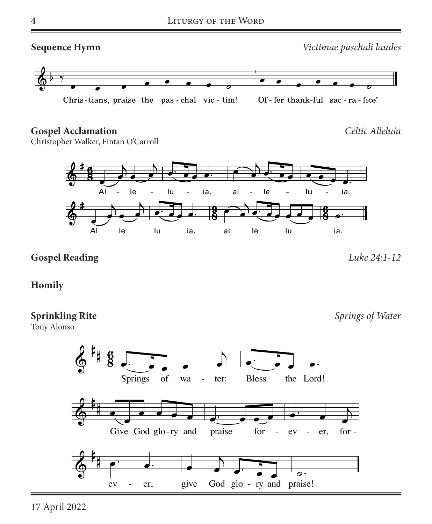**Sequence Hymn** *Victimae paschali laudes*  

#### **Gospel Acclamation**



Christopher Walker, Fintan O'Carroll



#### **Gospel Reading** *Luke 24:1-12*

*Springs of Water*

#### **Homily**

#### **Sprinkling Rite**

Tony Alonso



17 April 2022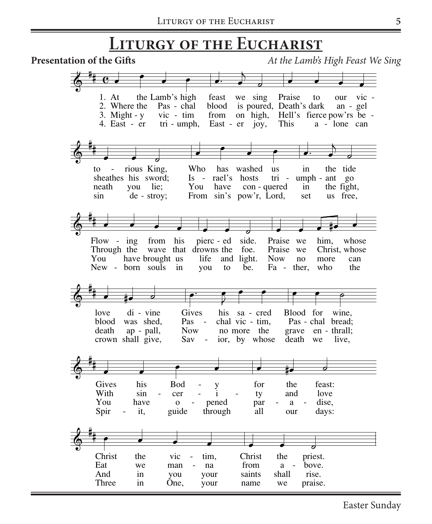# **LITURGY OF THE EUCHARIST**

**Presentation of the Gifts** *At the Lamb's High Feast We Sing*  $\frac{1}{9}$  $\frac{1}{2}$   $\frac{1}{2}$   $\frac{1}{2}$   $\frac{1}{2}$   $\frac{1}{2}$   $\frac{1}{2}$   $\frac{1}{2}$   $\frac{1}{2}$   $\frac{1}{2}$   $\frac{1}{2}$   $\frac{1}{2}$   $\frac{1}{2}$   $\frac{1}{2}$   $\frac{1}{2}$   $\frac{1}{2}$   $\frac{1}{2}$   $\frac{1}{2}$   $\frac{1}{2}$   $\frac{1}{2}$   $\frac{1}{2}$   $\frac{1}{2}$   $\frac{1}{2}$  4. East - er 3. Might - y 2. Where 1. At the the Lamb's high Pas - chal vic - tim tri - umph,  $\overrightarrow{a}$   $\overrightarrow{a}$ feast blood is poured, Death's dark from East - er joy, we sing on high, Hell's fierce pow'rs be -  $\overrightarrow{a}$   $\overrightarrow{a}$   $\overrightarrow{a}$ Praise This to a - lone can our an - gel vic -  $\circ$ ♯  $\overrightarrow{z}$ to sheathes his sword; neath sin rious King, you lie; de - stroy;  $\overrightarrow{a}$ Who Is - rael's hosts You have con-quered From sin's pow'r, Lord, has washed us tri -  $\cdot$   $\cdot$   $\cdot$ in umph - ant go in set the tide the fight, us free,  $\circ$ ♯ <sup>♯</sup> � � � � Flow - ing Through the You New - born souls in have brought us from his wave that drowns the  $\frac{1}{2}$ pierc - ed side. life and light. you to foe. be. � � � ♯� � Praise we Praise we Now Fa - ther, no him, Christ, whose more who can whose the  $\circledast$ ♯ ♯ � ♯� � death love blood was shed, crown shall give, ap - pall, di - vine  $\bullet$   $\bullet$   $\bullet$   $\bullet$ Now **Gives** Pas - Sav no more the his sa - cred chal vic - tim, ior, by whose  $\bullet$   $\bullet$   $\bullet$ grave en - thrall; Blood for Pas - chal bread; death we wine, live,  $\circledcirc$ ♯ <sup>♯</sup> � � � � You **Gives** With Spir have his sin it,  $\overline{O}$ Bod cer guide pened y<sub>i</sub>  $\frac{1}{1}$  through  $\overrightarrow{e}$   $\overrightarrow{e}$   $\overrightarrow{e}$ par for ty all a the and our dise, love feast: days: � ♯ <sup>♯</sup> � � � � And Christ Eat Three in the we in you vic man One, your tim, na your  $\bullet$   $\bullet$   $\bullet$ saints Christ from name shall the a we rise. priest. bove. praise. At the Lamb's High Feast We Sing

Easter Sunday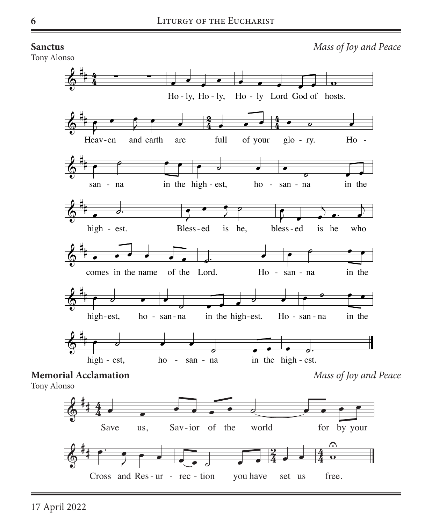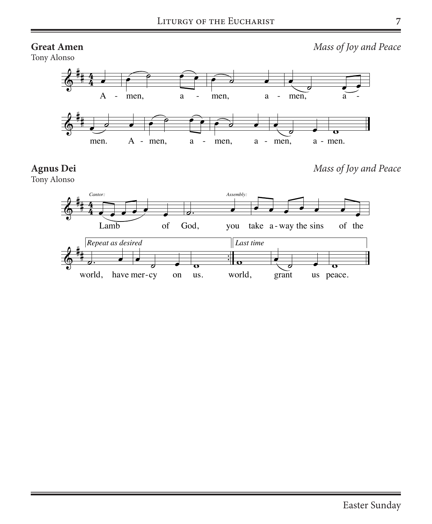#### **Great Amen**

Tony Alonso

*Mass of Joy and Peace*





*Mass of Joy and Peace*

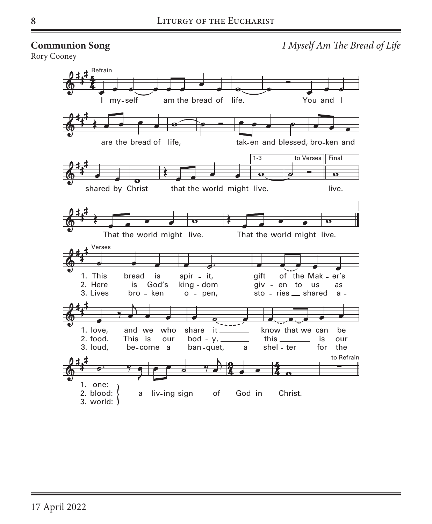#### *I Myself Am The Bread of Life* **Bread of Life Communion Song** Rory Cooney **Refrain** I my-self am the bread of life. You and I are the bread of life, tak-en and blessed, bro-ken and 1-3 to Verses Final  $\overline{\mathbf{o}}$ shared by Christ that the world might live. live. That the world might live. That the world might live. Verses bread is gift 1. This spir - it, of the Mak - er's God's 2. Here is king - dom giv - en to us as 3. Lives bro ken o pen, sto - ries \_ shared a 1. love, and we who share it know that we can be 2. food. This is our bod y, this is our 3. loud, be come ban quet, a shel - ter the a for to Refrain 1. one: 2. blood: a liv ing sign of God in Christ. 3. world: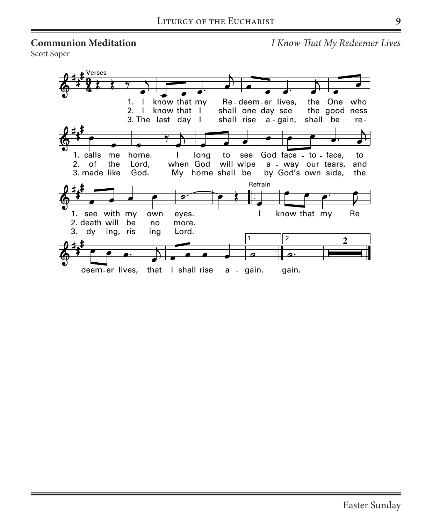#### **Communion Meditation**

Scott Soper

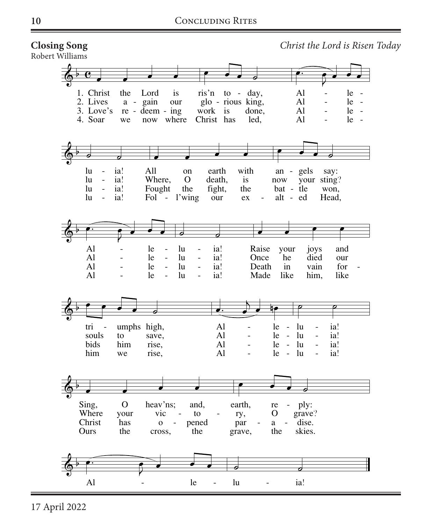

Al - le -

lu - ia!

17 April 2022

Text: Charles Wesley, 1707–1788, alt.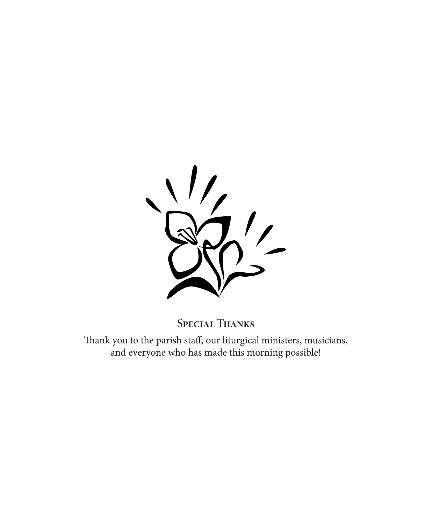

**Special Thanks**

Thank you to the parish staff, our liturgical ministers, musicians, and everyone who has made this morning possible!